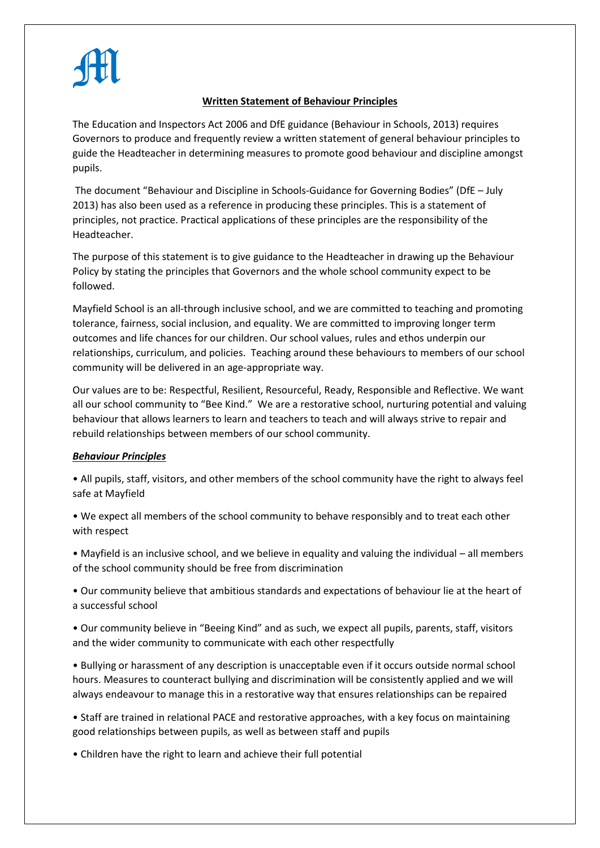## M

## **Written Statement of Behaviour Principles**

The Education and Inspectors Act 2006 and DfE guidance (Behaviour in Schools, 2013) requires Governors to produce and frequently review a written statement of general behaviour principles to guide the Headteacher in determining measures to promote good behaviour and discipline amongst pupils.

The document "Behaviour and Discipline in Schools-Guidance for Governing Bodies" (DfE – July 2013) has also been used as a reference in producing these principles. This is a statement of principles, not practice. Practical applications of these principles are the responsibility of the Headteacher.

The purpose of this statement is to give guidance to the Headteacher in drawing up the Behaviour Policy by stating the principles that Governors and the whole school community expect to be followed.

Mayfield School is an all-through inclusive school, and we are committed to teaching and promoting tolerance, fairness, social inclusion, and equality. We are committed to improving longer term outcomes and life chances for our children. Our school values, rules and ethos underpin our relationships, curriculum, and policies. Teaching around these behaviours to members of our school community will be delivered in an age-appropriate way.

Our values are to be: Respectful, Resilient, Resourceful, Ready, Responsible and Reflective. We want all our school community to "Bee Kind." We are a restorative school, nurturing potential and valuing behaviour that allows learners to learn and teachers to teach and will always strive to repair and rebuild relationships between members of our school community.

## *Behaviour Principles*

• All pupils, staff, visitors, and other members of the school community have the right to always feel safe at Mayfield

• We expect all members of the school community to behave responsibly and to treat each other with respect

• Mayfield is an inclusive school, and we believe in equality and valuing the individual – all members of the school community should be free from discrimination

• Our community believe that ambitious standards and expectations of behaviour lie at the heart of a successful school

• Our community believe in "Beeing Kind" and as such, we expect all pupils, parents, staff, visitors and the wider community to communicate with each other respectfully

• Bullying or harassment of any description is unacceptable even if it occurs outside normal school hours. Measures to counteract bullying and discrimination will be consistently applied and we will always endeavour to manage this in a restorative way that ensures relationships can be repaired

• Staff are trained in relational PACE and restorative approaches, with a key focus on maintaining good relationships between pupils, as well as between staff and pupils

• Children have the right to learn and achieve their full potential